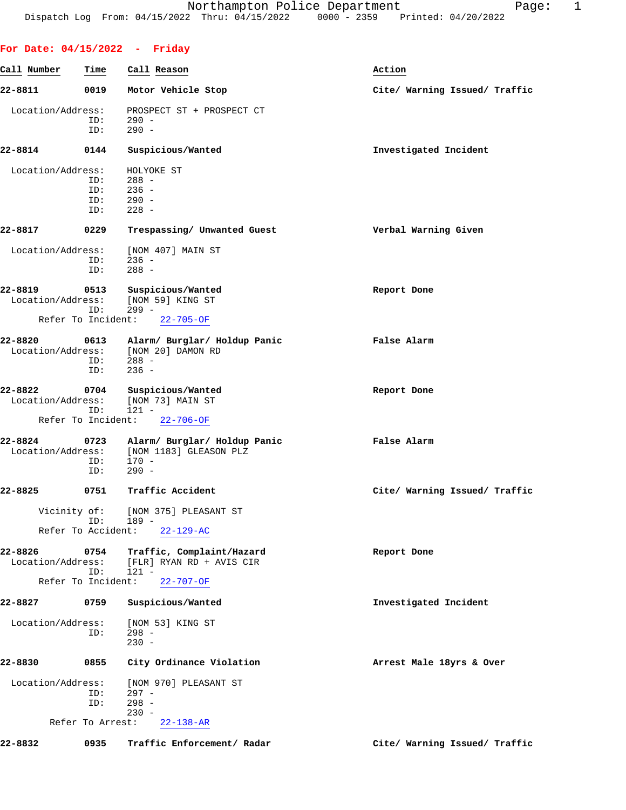| Call Number                  | Time                      | Call Reason                                                                | Action                        |
|------------------------------|---------------------------|----------------------------------------------------------------------------|-------------------------------|
| 22-8811                      | 0019                      | Motor Vehicle Stop                                                         | Cite/ Warning Issued/ Traffic |
| Location/Address:            | ID:<br>ID:                | PROSPECT ST + PROSPECT CT<br>$290 -$<br>$290 -$                            |                               |
| 22-8814                      | 0144                      | Suspicious/Wanted                                                          | Investigated Incident         |
| Location/Address:            | ID:<br>ID:<br>ID:<br>ID:  | HOLYOKE ST<br>288 -<br>$236 -$<br>$290 -$<br>$228 -$                       |                               |
| 22-8817                      | 0229                      | Trespassing/ Unwanted Guest                                                | Verbal Warning Given          |
| Location/Address:            | ID:<br>ID:                | [NOM 407] MAIN ST<br>$236 -$<br>$288 -$                                    |                               |
| 22-8819<br>Location/Address: | 0513<br>ID:               | Suspicious/Wanted<br>[NOM 59] KING ST<br>$299 -$                           | Report Done                   |
|                              | Refer To Incident:        | $22 - 705 - OF$                                                            |                               |
| 22-8820<br>Location/Address: | 0613<br>ID:<br>ID:        | Alarm/ Burglar/ Holdup Panic<br>[NOM 20] DAMON RD<br>$288 -$<br>$236 -$    | False Alarm                   |
| 22-8822<br>Location/Address: | 0704<br>ID:               | Suspicious/Wanted<br>[NOM 73] MAIN ST<br>$121 -$                           | Report Done                   |
|                              | Refer To Incident:        | $22 - 706 - OF$                                                            |                               |
| 22-8824<br>Location/Address: | 0723<br>ID:<br>ID:        | Alarm/ Burglar/ Holdup Panic<br>[NOM 1183] GLEASON PLZ<br>170 -<br>$290 -$ | False Alarm                   |
| 22-8825                      | 0751                      | Traffic Accident                                                           | Cite/ Warning Issued/ Traffic |
| Vicinity of:                 | TD:<br>Refer To Accident: | [NOM 375] PLEASANT ST<br>189 -<br>$22 - 129 - AC$                          |                               |
| 22-8826<br>Location/Address: | 0754<br>ID:               | Traffic, Complaint/Hazard<br>[FLR] RYAN RD + AVIS CIR<br>$121 -$           | Report Done                   |
|                              | Refer To Incident:        | $22 - 707 - OF$                                                            |                               |
| 22-8827                      | 0759                      | Suspicious/Wanted                                                          | Investigated Incident         |
| Location/Address:            | ID:                       | [NOM 53] KING ST<br>$298 -$<br>$230 -$                                     |                               |
| 22-8830                      | 0855                      | City Ordinance Violation                                                   | Arrest Male 18yrs & Over      |
| Location/Address:            | ID:<br>ID:                | [NOM 970] PLEASANT ST<br>$297 -$<br>$298 -$                                |                               |
|                              | Refer To Arrest:          | $230 -$<br>$22 - 138 - AR$                                                 |                               |

**22-8832 0935 Traffic Enforcement/ Radar Cite/ Warning Issued/ Traffic**

**For Date: 04/15/2022 - Friday**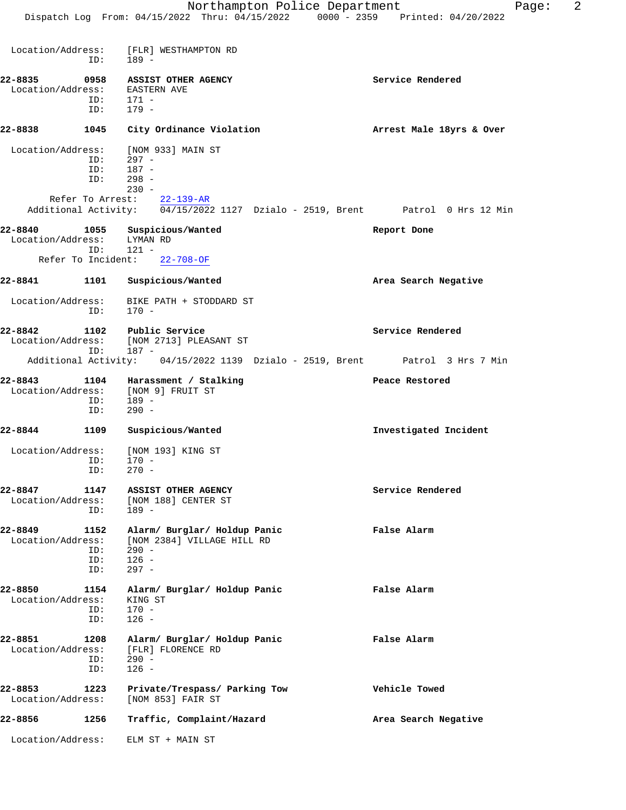#### **22-8835 0958 ASSIST OTHER AGENCY Service Rendered** Location/Address: EASTERN AVE ID: 171 - ID: 179 -

## **22-8838 1045 City Ordinance Violation Arrest Male 18yrs & Over**

| Location/Address: [NOM 933] MAIN ST |           |
|-------------------------------------|-----------|
| TD:                                 | $297 -$   |
| TD:                                 | 187 -     |
| TD:                                 | 298 -     |
|                                     | $230 -$   |
|                                     | oo ino am |

#### Refer To Arrest: 22-139-AR Additional Activity: 04/15/2022 1127 Dzialo - 2519, Brent Patrol 0 Hrs 12 Min

| 22-8840                      | 1055 |          | Suspicious/Wanted | Report Done |  |
|------------------------------|------|----------|-------------------|-------------|--|
| Location/Address:            |      | LYMAN RD |                   |             |  |
|                              | TD:  | $121 -$  |                   |             |  |
| Refer To Incident: 22-708-OF |      |          |                   |             |  |

## **22-8841 1101 Suspicious/Wanted Area Search Negative**

 Location/Address: BIKE PATH + STODDARD ST ID: 170 -

**22-8842 1102 Public Service Service Rendered** Location/Address: [NOM 2713] PLEASANT ST ID: 187 - Additional Activity: 04/15/2022 1139 Dzialo - 2519, Brent Patrol 3 Hrs 7 Min

#### **22-8843 1104 Harassment / Stalking Peace Restored** Location/Address: [NOM 9] FRUIT ST<br>ID: 189 -ID: ID: 290 -

# **22-8844 1109 Suspicious/Wanted Investigated Incident** Location/Address: [NOM 193] KING ST

ID: 170 -<br>ID: 270 - $270 -$ 

### **22-8847 1147 ASSIST OTHER AGENCY Service Rendered** Location/Address: [NOM 188] CENTER ST ID: 189 -

**22-8849 1152 Alarm/ Burglar/ Holdup Panic False Alarm** ess: [NOM 2384] VILLAGE HILL RD<br>ID: 290 - ID: 290 - ID: 126 - ID: 297 -

22-8850 1154 Alarm/ Burglar/ Holdup Panic **False Alarm** Location/Address: KING ST Location/Address: ID: 170 - ID: 126 -

### **22-8851 1208 Alarm/ Burglar/ Holdup Panic False Alarm** Location/Address: [FLR] FLORENCE RD ID: 290 -<br>ID: 126 - $126 -$

**22-8853 1223 Private/Trespass/ Parking Tow Vehicle Towed** Location/Address: [NOM 853] FAIR ST

**22-8856 1256 Traffic, Complaint/Hazard Area Search Negative** Location/Address: ELM ST + MAIN ST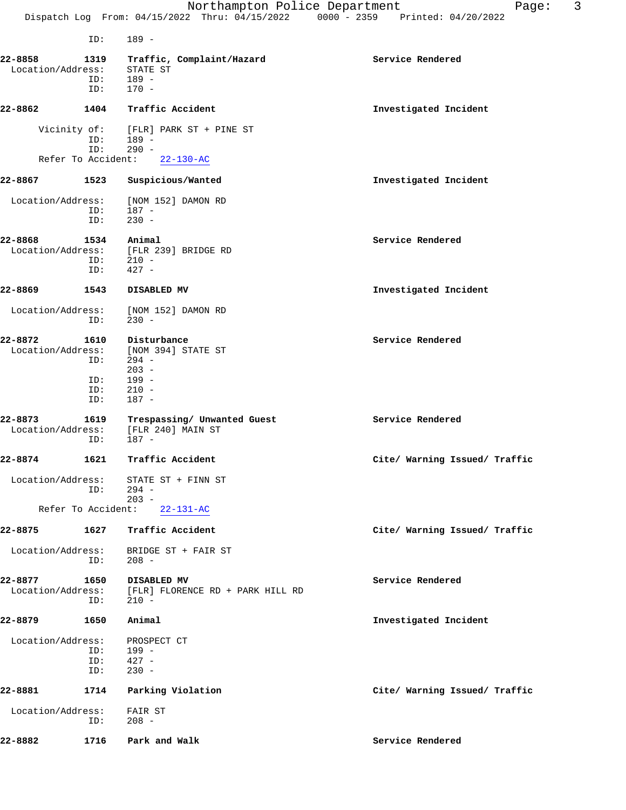ID: 189 -

| 22-8858<br>Location/Address: | ID:<br>ID:                       | 1319 Traffic, Complaint/Hazard<br>STATE ST<br>$189 -$<br>$170 -$                     | Service Rendered              |
|------------------------------|----------------------------------|--------------------------------------------------------------------------------------|-------------------------------|
| 22-8862                      | 1404                             | Traffic Accident                                                                     | Investigated Incident         |
|                              | ID:<br>ID:                       | Vicinity of: [FLR] PARK ST + PINE ST<br>$189 -$<br>$290 -$                           |                               |
|                              | Refer To Accident:               | $22 - 130 - AC$                                                                      |                               |
| 22-8867                      | 1523                             | Suspicious/Wanted                                                                    | Investigated Incident         |
|                              | ID:<br>ID:                       | Location/Address: [NOM 152] DAMON RD<br>$187 -$<br>$230 -$                           |                               |
| 22-8868                      | 1534<br>ID:<br>ID:               | Animal<br>Location/Address: [FLR 239] BRIDGE RD<br>$210 -$<br>$427 -$                | Service Rendered              |
| 22-8869                      | 1543                             | <b>DISABLED MV</b>                                                                   | Investigated Incident         |
| Location/Address:            | ID:                              | [NOM 152] DAMON RD<br>$230 -$                                                        |                               |
| 22-8872<br>Location/Address: | 1610<br>ID:<br>ID:<br>ID:<br>ID: | Disturbance<br>[NOM 394] STATE ST<br>294 -<br>$203 -$<br>$199 -$<br>$210 -$<br>187 - | Service Rendered              |
| 22-8873                      | ID:                              | 1619 Trespassing/ Unwanted Guest<br>Location/Address: [FLR 240] MAIN ST<br>$187 -$   | Service Rendered              |
| 22-8874                      | 1621                             | Traffic Accident                                                                     | Cite/ Warning Issued/ Traffic |
|                              | ID:                              | Location/Address: STATE ST + FINN ST<br>294 -<br>$203 -$                             |                               |
|                              |                                  | Refer To Accident: 22-131-AC                                                         |                               |
| 22-8875                      | 1627                             | Traffic Accident                                                                     | Cite/ Warning Issued/ Traffic |
| Location/Address:            | ID:                              | BRIDGE ST + FAIR ST<br>$208 -$                                                       |                               |
| 22-8877<br>Location/Address: | 1650<br>ID:                      | DISABLED MV<br>[FLR] FLORENCE RD + PARK HILL RD<br>$210 -$                           | Service Rendered              |
| 22-8879                      | 1650                             | Animal                                                                               | Investigated Incident         |
| Location/Address:            | ID:<br>ID:<br>ID:                | PROSPECT CT<br>$199 -$<br>$427 -$<br>$230 -$                                         |                               |
| 22-8881                      | 1714                             | Parking Violation                                                                    | Cite/ Warning Issued/ Traffic |
| Location/Address:            | ID:                              | FAIR ST<br>$208 -$                                                                   |                               |
| 22-8882                      | 1716                             | Park and Walk                                                                        | Service Rendered              |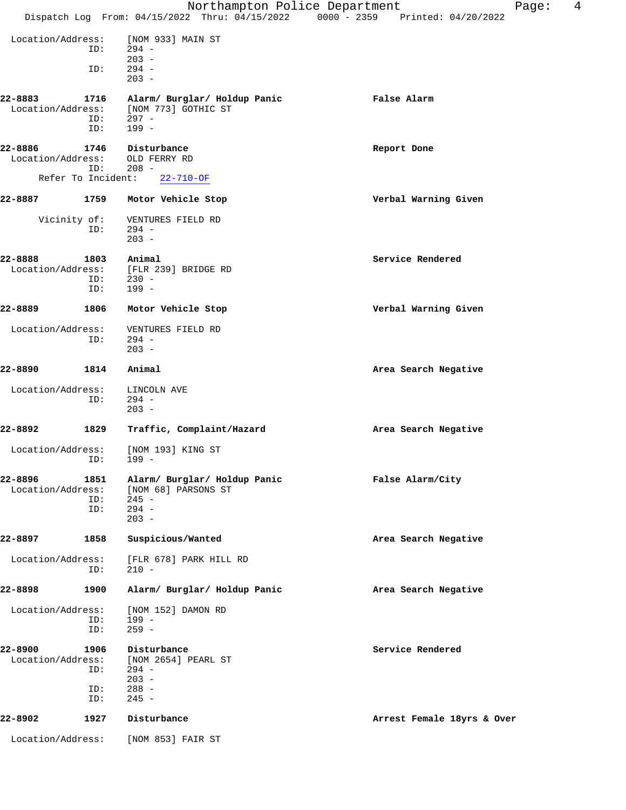|                              |                           | Northampton Police Department                                                        |                                                                                | Page: | 4 |
|------------------------------|---------------------------|--------------------------------------------------------------------------------------|--------------------------------------------------------------------------------|-------|---|
|                              |                           |                                                                                      | Dispatch Log From: 04/15/2022 Thru: 04/15/2022 0000 - 2359 Printed: 04/20/2022 |       |   |
| Location/Address:            | ID:                       | [NOM 933] MAIN ST<br>$294 -$                                                         |                                                                                |       |   |
|                              | ID:                       | $203 -$<br>$294 -$<br>$203 -$                                                        |                                                                                |       |   |
| 22-8883<br>Location/Address: | 1716<br>ID:<br>ID:        | Alarm/ Burglar/ Holdup Panic<br>[NOM 773] GOTHIC ST<br>297 -<br>$199 -$              | False Alarm                                                                    |       |   |
| 22-8886<br>Location/Address: | 1746<br>ID:               | Disturbance<br>OLD FERRY RD<br>$208 -$                                               | Report Done                                                                    |       |   |
| Refer To Incident:           |                           | $22 - 710 - OF$                                                                      |                                                                                |       |   |
| 22-8887                      | 1759                      | Motor Vehicle Stop                                                                   | Verbal Warning Given                                                           |       |   |
| Vicinity of:                 | ID:                       | VENTURES FIELD RD<br>$294 -$<br>$203 -$                                              |                                                                                |       |   |
| 22-8888<br>Location/Address: | 1803<br>ID:<br>ID:        | Animal<br>[FLR 239] BRIDGE RD<br>$230 -$<br>$199 -$                                  | Service Rendered                                                               |       |   |
| 22-8889                      | 1806                      | Motor Vehicle Stop                                                                   | Verbal Warning Given                                                           |       |   |
| Location/Address:            | ID:                       | VENTURES FIELD RD<br>$294 -$<br>$203 -$                                              |                                                                                |       |   |
| 22-8890                      | 1814                      | Animal                                                                               | Area Search Negative                                                           |       |   |
| Location/Address:            | ID:                       | LINCOLN AVE<br>$294 -$<br>$203 -$                                                    |                                                                                |       |   |
| 22-8892                      | 1829                      | Traffic, Complaint/Hazard                                                            | Area Search Negative                                                           |       |   |
| Location/Address:            | ID: 199 -                 | [NOM 193] KING ST                                                                    |                                                                                |       |   |
| 22-8896<br>Location/Address: | 1851<br>ID:<br>ID:        | Alarm/ Burglar/ Holdup Panic<br>[NOM 68] PARSONS ST<br>$245 -$<br>$294 -$<br>$203 -$ | False Alarm/City                                                               |       |   |
| 22-8897                      | 1858                      | Suspicious/Wanted                                                                    | Area Search Negative                                                           |       |   |
| Location/Address:            | ID:                       | [FLR 678] PARK HILL RD<br>$210 -$                                                    |                                                                                |       |   |
| 22-8898                      | 1900                      | Alarm/ Burglar/ Holdup Panic                                                         | Area Search Negative                                                           |       |   |
| Location/Address:            | ID:<br>ID:                | [NOM 152] DAMON RD<br>$199 -$<br>$259 -$                                             |                                                                                |       |   |
| 22-8900<br>Location/Address: | 1906<br>ID:<br>ID:<br>ID: | Disturbance<br>[NOM 2654] PEARL ST<br>$294 -$<br>$203 -$<br>$288 -$<br>$245 -$       | Service Rendered                                                               |       |   |
| 22-8902                      | 1927                      | Disturbance                                                                          | Arrest Female 18yrs & Over                                                     |       |   |
| Location/Address:            |                           | [NOM 853] FAIR ST                                                                    |                                                                                |       |   |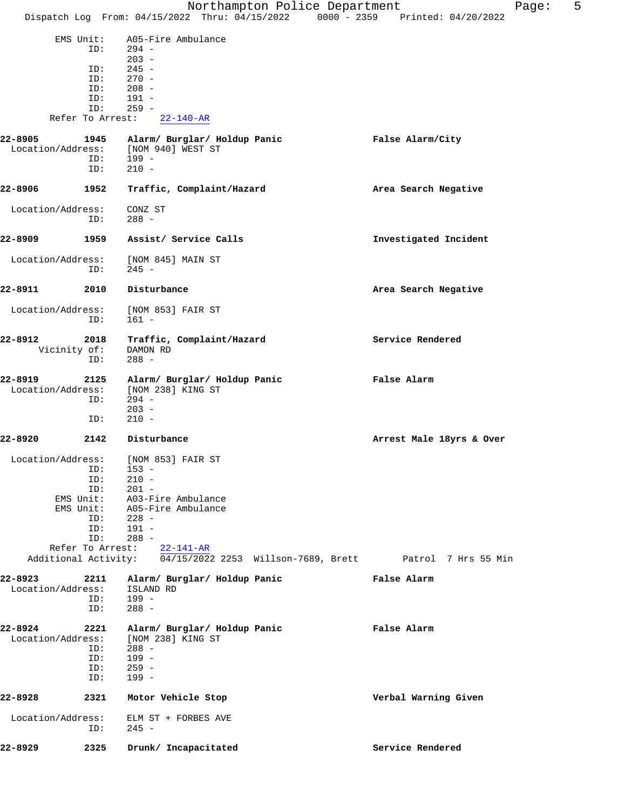|                      |                         | Northampton Police Department                                                  | 5<br>Page:               |
|----------------------|-------------------------|--------------------------------------------------------------------------------|--------------------------|
|                      |                         | Dispatch Log From: 04/15/2022 Thru: 04/15/2022 0000 - 2359 Printed: 04/20/2022 |                          |
|                      | EMS Unit:               | A05-Fire Ambulance                                                             |                          |
|                      | ID:                     | $294 -$                                                                        |                          |
|                      |                         | $203 -$                                                                        |                          |
|                      | ID:<br>ID:              | $245 -$<br>$270 -$                                                             |                          |
|                      | ID:                     | $208 -$                                                                        |                          |
|                      | ID:                     | $191 -$                                                                        |                          |
|                      | ID:<br>Refer To Arrest: | $259 -$<br>$22 - 140 - AR$                                                     |                          |
|                      |                         |                                                                                |                          |
| 22-8905              | 1945                    | Alarm/ Burglar/ Holdup Panic                                                   | False Alarm/City         |
| Location/Address:    | ID:                     | [NOM 940] WEST ST<br>$199 -$                                                   |                          |
|                      | ID:                     | $210 -$                                                                        |                          |
|                      |                         |                                                                                |                          |
| 22-8906              | 1952                    | Traffic, Complaint/Hazard                                                      | Area Search Negative     |
| Location/Address:    |                         | CONZ ST                                                                        |                          |
|                      | ID:                     | 288 -                                                                          |                          |
| 22-8909              | 1959                    | Assist/ Service Calls                                                          | Investigated Incident    |
|                      |                         |                                                                                |                          |
| Location/Address:    |                         | [NOM 845] MAIN ST                                                              |                          |
|                      | ID:                     | $245 -$                                                                        |                          |
| 22-8911              | 2010                    | Disturbance                                                                    | Area Search Negative     |
|                      |                         |                                                                                |                          |
| Location/Address:    |                         | [NOM 853] FAIR ST                                                              |                          |
|                      | ID:                     | $161 -$                                                                        |                          |
| 22-8912              | 2018                    | Traffic, Complaint/Hazard                                                      | Service Rendered         |
| Vicinity of:         |                         | DAMON RD                                                                       |                          |
|                      | ID:                     | $288 -$                                                                        |                          |
| 22-8919              | 2125                    | Alarm/ Burglar/ Holdup Panic                                                   | False Alarm              |
| Location/Address:    |                         | [NOM 238] KING ST                                                              |                          |
|                      | ID:                     | $294 -$<br>$203 -$                                                             |                          |
|                      | ID:                     | $210 -$                                                                        |                          |
|                      |                         |                                                                                |                          |
| 22-8920              | 2142                    | Disturbance                                                                    | Arrest Male 18yrs & Over |
|                      |                         | Location/Address: [NOM 853] FAIR ST                                            |                          |
|                      | ID:                     | $153 -$                                                                        |                          |
|                      | ID:<br>ID:              | $210 -$<br>$201 -$                                                             |                          |
|                      | EMS Unit:               | A03-Fire Ambulance                                                             |                          |
|                      | EMS Unit:               | A05-Fire Ambulance                                                             |                          |
|                      | ID:                     | $228 -$                                                                        |                          |
|                      | ID:<br>ID:              | $191 -$<br>$288 -$                                                             |                          |
|                      | Refer To Arrest:        | $22 - 141 - AR$                                                                |                          |
| Additional Activity: |                         | 04/15/2022 2253 Willson-7689, Brett Patrol 7 Hrs 55 Min                        |                          |
| 22-8923              | 2211                    | Alarm/ Burglar/ Holdup Panic                                                   | False Alarm              |
| Location/Address:    |                         | ISLAND RD                                                                      |                          |
|                      | ID:                     | 199 -                                                                          |                          |
|                      | ID:                     | $288 -$                                                                        |                          |
| 22-8924              | 2221                    | Alarm/ Burglar/ Holdup Panic                                                   | False Alarm              |
| Location/Address:    |                         | [NOM 238] KING ST                                                              |                          |
|                      | ID:                     | $288 -$                                                                        |                          |
|                      | ID:                     | $199 -$                                                                        |                          |
|                      | ID:<br>ID:              | $259 -$<br>$199 -$                                                             |                          |
|                      |                         |                                                                                |                          |
| 22-8928              | 2321                    | Motor Vehicle Stop                                                             | Verbal Warning Given     |
| Location/Address:    |                         | ELM ST + FORBES AVE                                                            |                          |
|                      | ID:                     | $245 -$                                                                        |                          |
|                      |                         |                                                                                |                          |
| 22-8929              | 2325                    | Drunk/ Incapacitated                                                           | Service Rendered         |